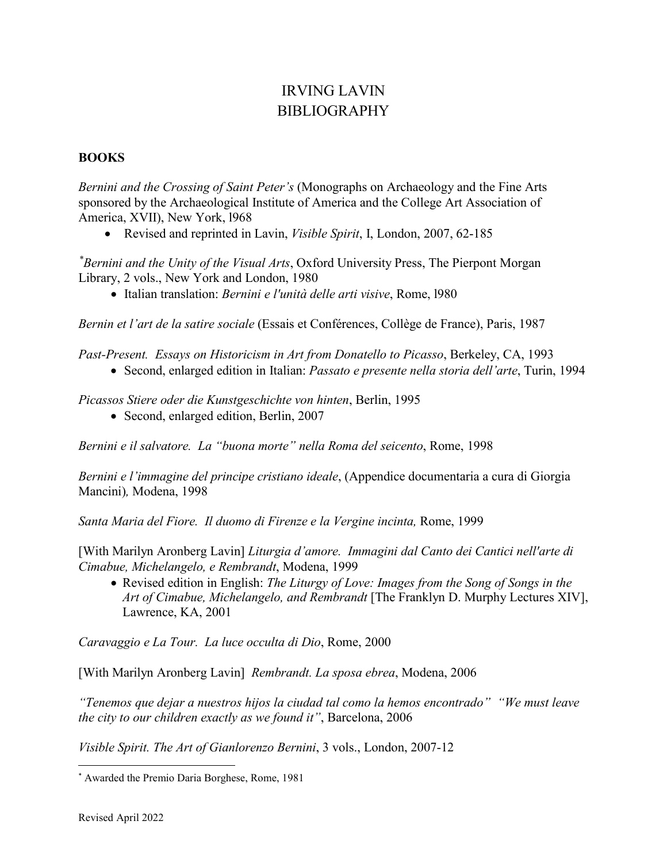# IRVING LAVIN BIBLIOGRAPHY

#### **BOOKS**

*Bernini and the Crossing of Saint Peter's* (Monographs on Archaeology and the Fine Arts sponsored by the Archaeological Institute of America and the College Art Association of America, XVII), New York, l968

• Revised and reprinted in Lavin, *Visible Spirit*, I, London, 2007, 62-185

*[\\*](#page-0-0) Bernini and the Unity of the Visual Arts*, Oxford University Press, The Pierpont Morgan Library, 2 vols., New York and London, 1980

• Italian translation: *Bernini e l'unità delle arti visive*, Rome, l980

*Bernin et l'art de la satire sociale* (Essais et Conférences, Collège de France), Paris, 1987

*Past-Present. Essays on Historicism in Art from Donatello to Picasso*, Berkeley, CA, 1993

• Second, enlarged edition in Italian: *Passato e presente nella storia dell'arte*, Turin, 1994

*Picassos Stiere oder die Kunstgeschichte von hinten*, Berlin, 1995

• Second, enlarged edition, Berlin, 2007

*Bernini e il salvatore. La "buona morte" nella Roma del seicento*, Rome, 1998

*Bernini e l'immagine del principe cristiano ideale*, (Appendice documentaria a cura di Giorgia Mancini)*,* Modena, 1998

*Santa Maria del Fiore. Il duomo di Firenze e la Vergine incinta,* Rome, 1999

[With Marilyn Aronberg Lavin] *Liturgia d'amore. Immagini dal Canto dei Cantici nell'arte di Cimabue, Michelangelo, e Rembrandt*, Modena, 1999

• Revised edition in English: *The Liturgy of Love: Images from the Song of Songs in the Art of Cimabue, Michelangelo, and Rembrandt* [The Franklyn D. Murphy Lectures XIV], Lawrence, KA, 2001

*Caravaggio e La Tour. La luce occulta di Dio*, Rome, 2000

[With Marilyn Aronberg Lavin] *Rembrandt. La sposa ebrea*, Modena, 2006

*"Tenemos que dejar a nuestros hijos la ciudad tal como la hemos encontrado" "We must leave the city to our children exactly as we found it"*, Barcelona, 2006

*Visible Spirit. The Art of Gianlorenzo Bernini*, 3 vols., London, 2007-12

<span id="page-0-0"></span> <sup>\*</sup> Awarded the Premio Daria Borghese, Rome, 1981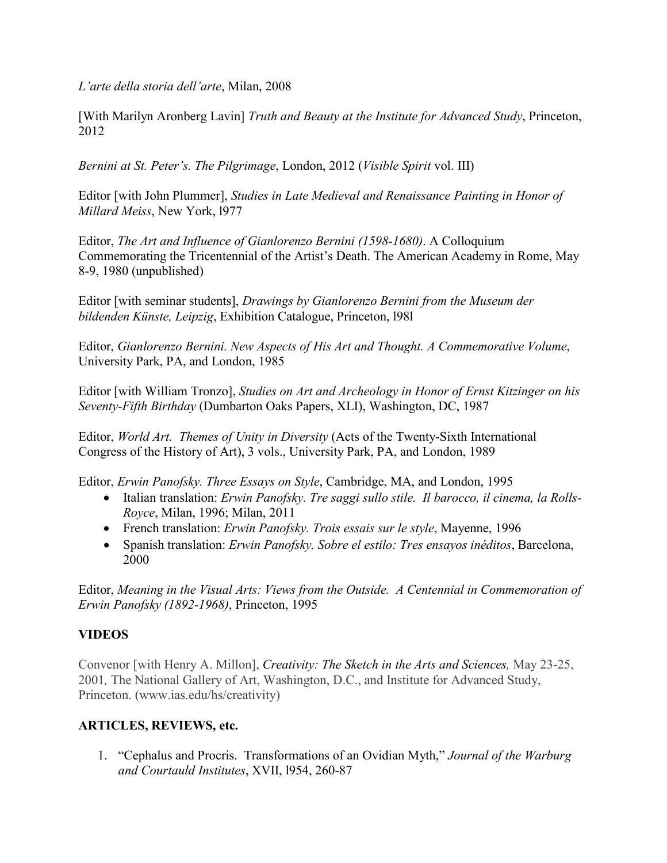*L'arte della storia dell'arte*, Milan, 2008

[With Marilyn Aronberg Lavin] *Truth and Beauty at the Institute for Advanced Study*, Princeton, 2012

*Bernini at St. Peter's. The Pilgrimage*, London, 2012 (*Visible Spirit* vol. III)

Editor [with John Plummer], *Studies in Late Medieval and Renaissance Painting in Honor of Millard Meiss*, New York, l977

Editor, *The Art and Influence of Gianlorenzo Bernini (1598-1680)*. A Colloquium Commemorating the Tricentennial of the Artist's Death. The American Academy in Rome, May 8-9, 1980 (unpublished)

Editor [with seminar students], *Drawings by Gianlorenzo Bernini from the Museum der bildenden Künste, Leipzig*, Exhibition Catalogue, Princeton, l98l

Editor, *Gianlorenzo Bernini. New Aspects of His Art and Thought. A Commemorative Volume*, University Park, PA, and London, 1985

Editor [with William Tronzo], *Studies on Art and Archeology in Honor of Ernst Kitzinger on his Seventy-Fifth Birthday* (Dumbarton Oaks Papers, XLI), Washington, DC, 1987

Editor, *World Art. Themes of Unity in Diversity* (Acts of the Twenty-Sixth International Congress of the History of Art), 3 vols., University Park, PA, and London, 1989

Editor, *Erwin Panofsky. Three Essays on Style*, Cambridge, MA, and London, 1995

- Italian translation: *Erwin Panofsky. Tre saggi sullo stile. Il barocco, il cinema, la Rolls-Royce*, Milan, 1996; Milan, 2011
- French translation: *Erwin Panofsky. Trois essais sur le style*, Mayenne, 1996
- Spanish translation: *Erwin Panofsky. Sobre el estilo: Tres ensayos inéditos*, Barcelona, 2000

Editor, *Meaning in the Visual Arts: Views from the Outside. A Centennial in Commemoration of Erwin Panofsky (1892-1968)*, Princeton, 1995

## **VIDEOS**

Convenor [with Henry A. Millon], *Creativity: The Sketch in the Arts and Sciences,* May 23-25, 2001*,* The National Gallery of Art, Washington, D.C., and Institute for Advanced Study, Princeton. (www.ias.edu/hs/creativity)

## **ARTICLES, REVIEWS, etc.**

1. "Cephalus and Procris. Transformations of an Ovidian Myth," *Journal of the Warburg and Courtauld Institutes*, XVII, l954, 260-87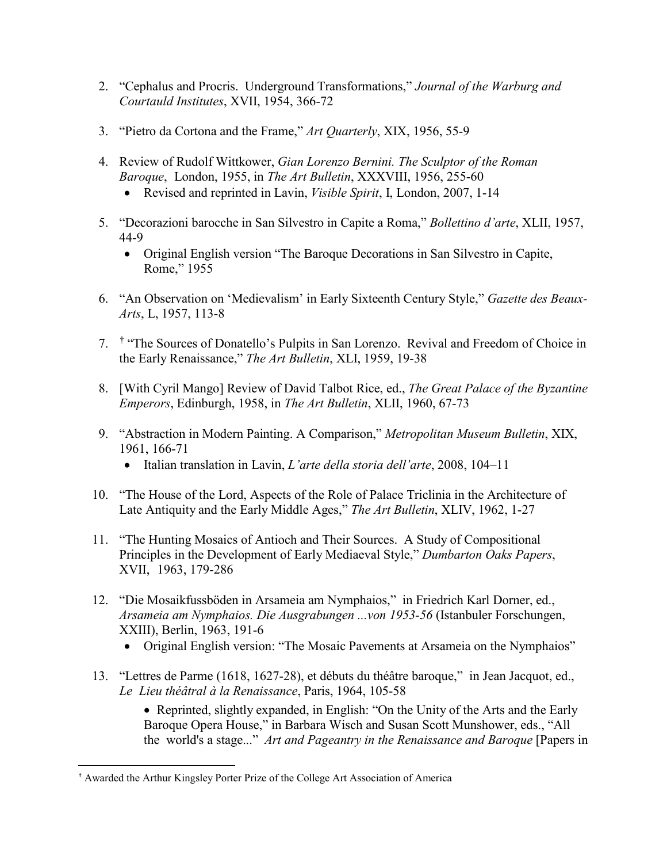- 2. "Cephalus and Procris. Underground Transformations," *Journal of the Warburg and Courtauld Institutes*, XVII, 1954, 366-72
- 3. "Pietro da Cortona and the Frame," *Art Quarterly*, XIX, 1956, 55-9
- 4. Review of Rudolf Wittkower, *Gian Lorenzo Bernini. The Sculptor of the Roman Baroque*, London, 1955, in *The Art Bulletin*, XXXVIII, 1956, 255-60
	- Revised and reprinted in Lavin, *Visible Spirit*, I, London, 2007, 1-14
- 5. "Decorazioni barocche in San Silvestro in Capite a Roma," *Bollettino d'arte*, XLII, 1957, 44-9
	- Original English version "The Baroque Decorations in San Silvestro in Capite, Rome," 1955
- 6. "An Observation on 'Medievalism' in Early Sixteenth Century Style," *Gazette des Beaux-Arts*, L, 1957, 113-8
- 7. [†](#page-2-0) "The Sources of Donatello's Pulpits in San Lorenzo. Revival and Freedom of Choice in the Early Renaissance," *The Art Bulletin*, XLI, 1959, 19-38
- 8. [With Cyril Mango] Review of David Talbot Rice, ed., *The Great Palace of the Byzantine Emperors*, Edinburgh, 1958, in *The Art Bulletin*, XLII, 1960, 67-73
- 9. "Abstraction in Modern Painting. A Comparison," *Metropolitan Museum Bulletin*, XIX, 1961, 166-71
	- Italian translation in Lavin, *L'arte della storia dell'arte*, 2008, 104–11
- 10. "The House of the Lord, Aspects of the Role of Palace Triclinia in the Architecture of Late Antiquity and the Early Middle Ages," *The Art Bulletin*, XLIV, 1962, 1-27
- 11. "The Hunting Mosaics of Antioch and Their Sources. A Study of Compositional Principles in the Development of Early Mediaeval Style," *Dumbarton Oaks Papers*, XVII, 1963, 179-286
- 12. "Die Mosaikfussböden in Arsameia am Nymphaios," in Friedrich Karl Dorner, ed., *Arsameia am Nymphaios. Die Ausgrabungen ...von 1953-56* (Istanbuler Forschungen, XXIII), Berlin, 1963, 191-6
	- Original English version: "The Mosaic Pavements at Arsameia on the Nymphaios"
- 13. "Lettres de Parme (1618, 1627-28), et débuts du théâtre baroque," in Jean Jacquot, ed., *Le Lieu théâtral à la Renaissance*, Paris, 1964, 105-58

• Reprinted, slightly expanded, in English: "On the Unity of the Arts and the Early Baroque Opera House," in Barbara Wisch and Susan Scott Munshower, eds., "All the world's a stage..." *Art and Pageantry in the Renaissance and Baroque* [Papers in

<span id="page-2-0"></span> <sup>†</sup> Awarded the Arthur Kingsley Porter Prize of the College Art Association of America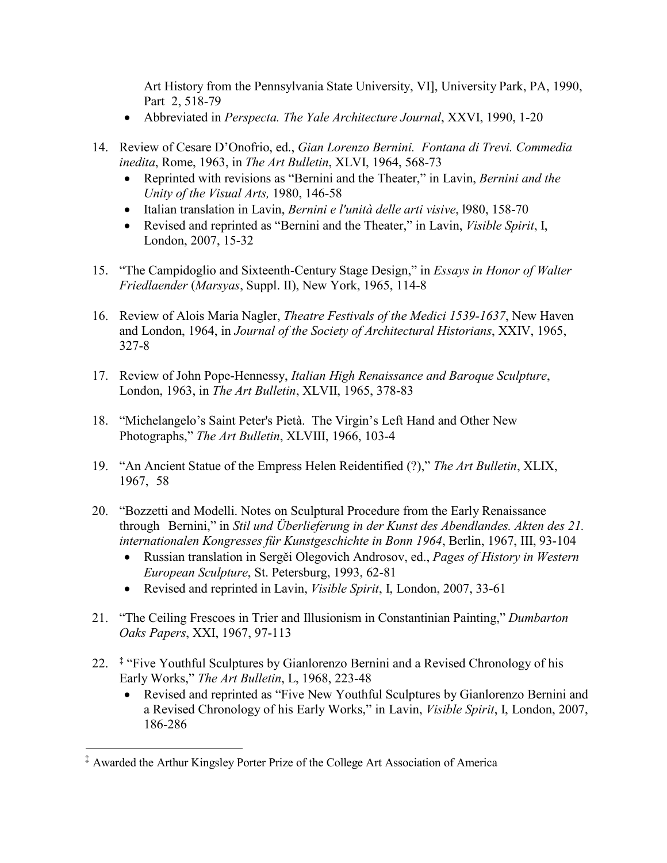Art History from the Pennsylvania State University, VI], University Park, PA, 1990, Part 2, 518-79

- Abbreviated in *Perspecta. The Yale Architecture Journal*, XXVI, 1990, 1-20
- 14. Review of Cesare D'Onofrio, ed., *Gian Lorenzo Bernini. Fontana di Trevi. Commedia inedita*, Rome, 1963, in *The Art Bulletin*, XLVI, 1964, 568-73
	- Reprinted with revisions as "Bernini and the Theater," in Lavin, *Bernini and the Unity of the Visual Arts,* 1980, 146-58
	- Italian translation in Lavin, *Bernini e l'unità delle arti visive*, l980, 158-70
	- Revised and reprinted as "Bernini and the Theater," in Lavin, *Visible Spirit*, I, London, 2007, 15-32
- 15. "The Campidoglio and Sixteenth-Century Stage Design," in *Essays in Honor of Walter Friedlaender* (*Marsyas*, Suppl. II), New York, 1965, 114-8
- 16. Review of Alois Maria Nagler, *Theatre Festivals of the Medici 1539-1637*, New Haven and London, 1964, in *Journal of the Society of Architectural Historians*, XXIV, 1965, 327-8
- 17. Review of John Pope-Hennessy, *Italian High Renaissance and Baroque Sculpture*, London, 1963, in *The Art Bulletin*, XLVII, 1965, 378-83
- 18. "Michelangelo's Saint Peter's Pietà. The Virgin's Left Hand and Other New Photographs," *The Art Bulletin*, XLVIII, 1966, 103-4
- 19. "An Ancient Statue of the Empress Helen Reidentified (?)," *The Art Bulletin*, XLIX, 1967, 58
- 20. "Bozzetti and Modelli. Notes on Sculptural Procedure from the Early Renaissance through Bernini," in *Stil und Überlieferung in der Kunst des Abendlandes. Akten des 21. internationalen Kongresses für Kunstgeschichte in Bonn 1964*, Berlin, 1967, III, 93-104
	- Russian translation in Sergěi Olegovich Androsov, ed., *Pages of History in Western European Sculpture*, St. Petersburg, 1993, 62-81
	- Revised and reprinted in Lavin, *Visible Spirit*, I, London, 2007, 33-61
- 21. "The Ceiling Frescoes in Trier and Illusionism in Constantinian Painting," *Dumbarton Oaks Papers*, XXI, 1967, 97-113
- 22. **[‡](#page-3-0)** "Five Youthful Sculptures by Gianlorenzo Bernini and a Revised Chronology of his Early Works," *The Art Bulletin*, L, 1968, 223-48
	- Revised and reprinted as "Five New Youthful Sculptures by Gianlorenzo Bernini and a Revised Chronology of his Early Works," in Lavin, *Visible Spirit*, I, London, 2007, 186-286

<span id="page-3-0"></span><sup>‡</sup> Awarded the Arthur Kingsley Porter Prize of the College Art Association of America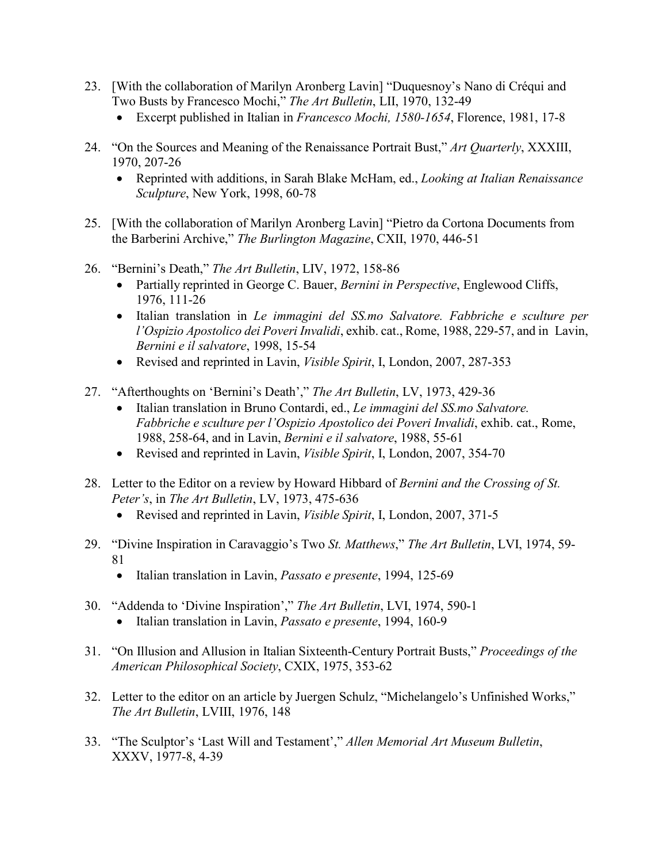- 23. [With the collaboration of Marilyn Aronberg Lavin] "Duquesnoy's Nano di Créqui and Two Busts by Francesco Mochi," *The Art Bulletin*, LII, 1970, 132-49
	- Excerpt published in Italian in *Francesco Mochi, 1580-1654*, Florence, 1981, 17-8
- 24. "On the Sources and Meaning of the Renaissance Portrait Bust," *Art Quarterly*, XXXIII, 1970, 207-26
	- Reprinted with additions, in Sarah Blake McHam, ed., *Looking at Italian Renaissance Sculpture*, New York, 1998, 60-78
- 25. [With the collaboration of Marilyn Aronberg Lavin] "Pietro da Cortona Documents from the Barberini Archive," *The Burlington Magazine*, CXII, 1970, 446-51
- 26. "Bernini's Death," *The Art Bulletin*, LIV, 1972, 158-86
	- Partially reprinted in George C. Bauer, *Bernini in Perspective*, Englewood Cliffs, 1976, 111-26
	- Italian translation in *Le immagini del SS.mo Salvatore. Fabbriche e sculture per l'Ospizio Apostolico dei Poveri Invalidi*, exhib. cat., Rome, 1988, 229-57, and in Lavin, *Bernini e il salvatore*, 1998, 15-54
	- Revised and reprinted in Lavin, *Visible Spirit*, I, London, 2007, 287-353
- 27. "Afterthoughts on 'Bernini's Death'," *The Art Bulletin*, LV, 1973, 429-36
	- Italian translation in Bruno Contardi, ed., *Le immagini del SS.mo Salvatore. Fabbriche e sculture per l'Ospizio Apostolico dei Poveri Invalidi*, exhib. cat., Rome, 1988, 258-64, and in Lavin, *Bernini e il salvatore*, 1988, 55-61
	- Revised and reprinted in Lavin, *Visible Spirit*, I, London, 2007, 354-70
- 28. Letter to the Editor on a review by Howard Hibbard of *Bernini and the Crossing of St. Peter's*, in *The Art Bulletin*, LV, 1973, 475-636
	- Revised and reprinted in Lavin, *Visible Spirit*, I, London, 2007, 371-5
- 29. "Divine Inspiration in Caravaggio's Two *St. Matthews*," *The Art Bulletin*, LVI, 1974, 59- 81
	- Italian translation in Lavin, *Passato e presente*, 1994, 125-69
- 30. "Addenda to 'Divine Inspiration'," *The Art Bulletin*, LVI, 1974, 590-1
	- Italian translation in Lavin, *Passato e presente*, 1994, 160-9
- 31. "On Illusion and Allusion in Italian Sixteenth-Century Portrait Busts," *Proceedings of the American Philosophical Society*, CXIX, 1975, 353-62
- 32. Letter to the editor on an article by Juergen Schulz, "Michelangelo's Unfinished Works," *The Art Bulletin*, LVIII, 1976, 148
- 33. "The Sculptor's 'Last Will and Testament'," *Allen Memorial Art Museum Bulletin*, XXXV, 1977-8, 4-39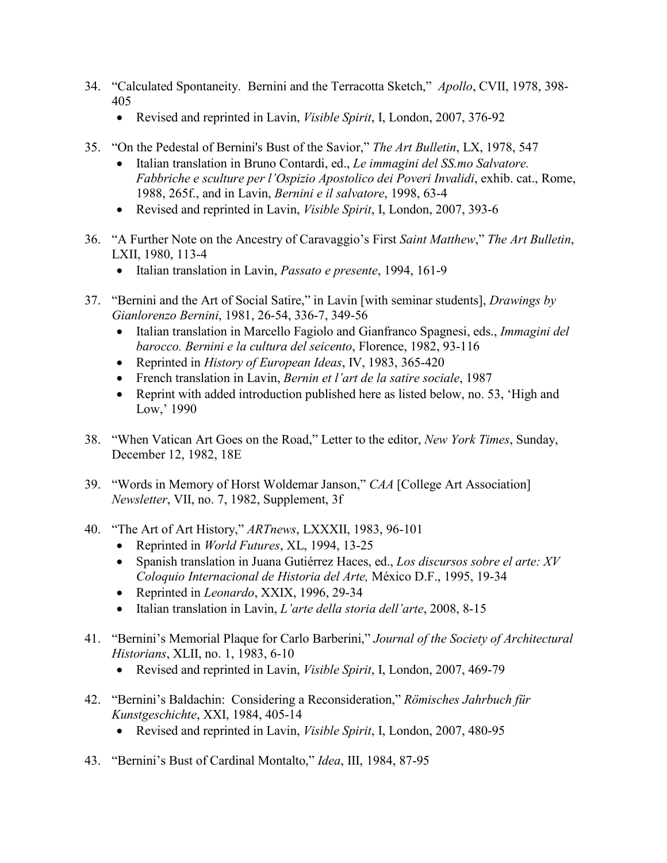- 34. "Calculated Spontaneity. Bernini and the Terracotta Sketch," *Apollo*, CVII, 1978, 398- 405
	- Revised and reprinted in Lavin, *Visible Spirit*, I, London, 2007, 376-92
- 35. "On the Pedestal of Bernini's Bust of the Savior," *The Art Bulletin*, LX, 1978, 547
	- Italian translation in Bruno Contardi, ed., *Le immagini del SS.mo Salvatore. Fabbriche e sculture per l'Ospizio Apostolico dei Poveri Invalidi*, exhib. cat., Rome, 1988, 265f., and in Lavin, *Bernini e il salvatore*, 1998, 63-4
	- Revised and reprinted in Lavin, *Visible Spirit*, I, London, 2007, 393-6
- 36. "A Further Note on the Ancestry of Caravaggio's First *Saint Matthew*," *The Art Bulletin*, LXII, 1980, 113-4
	- Italian translation in Lavin, *Passato e presente*, 1994, 161-9
- 37. "Bernini and the Art of Social Satire," in Lavin [with seminar students], *Drawings by Gianlorenzo Bernini*, 1981, 26-54, 336-7, 349-56
	- Italian translation in Marcello Fagiolo and Gianfranco Spagnesi, eds., *Immagini del barocco. Bernini e la cultura del seicento*, Florence, 1982, 93-116
	- Reprinted in *History of European Ideas*, IV, 1983, 365-420
	- French translation in Lavin, *Bernin et l'art de la satire sociale*, 1987
	- Reprint with added introduction published here as listed below, no. 53, 'High and Low,' 1990
- 38. "When Vatican Art Goes on the Road," Letter to the editor, *New York Times*, Sunday, December 12, 1982, 18E
- 39. "Words in Memory of Horst Woldemar Janson," *CAA* [College Art Association] *Newsletter*, VII, no. 7, 1982, Supplement, 3f
- 40. "The Art of Art History," *ARTnews*, LXXXII, 1983, 96-101
	- Reprinted in *World Futures*, XL, 1994, 13-25
	- Spanish translation in Juana Gutiérrez Haces, ed., *Los discursos sobre el arte: XV Coloquio Internacional de Historia del Arte,* México D.F., 1995, 19-34
	- Reprinted in *Leonardo*, XXIX, 1996, 29-34
	- Italian translation in Lavin, *L'arte della storia dell'arte*, 2008, 8-15
- 41. "Bernini's Memorial Plaque for Carlo Barberini," *Journal of the Society of Architectural Historians*, XLII, no. 1, 1983, 6-10
	- Revised and reprinted in Lavin, *Visible Spirit*, I, London, 2007, 469-79
- 42. "Bernini's Baldachin: Considering a Reconsideration," *Römisches Jahrbuch für Kunstgeschichte*, XXI, 1984, 405-14
	- Revised and reprinted in Lavin, *Visible Spirit*, I, London, 2007, 480-95
- 43. "Bernini's Bust of Cardinal Montalto," *Idea*, III, 1984, 87-95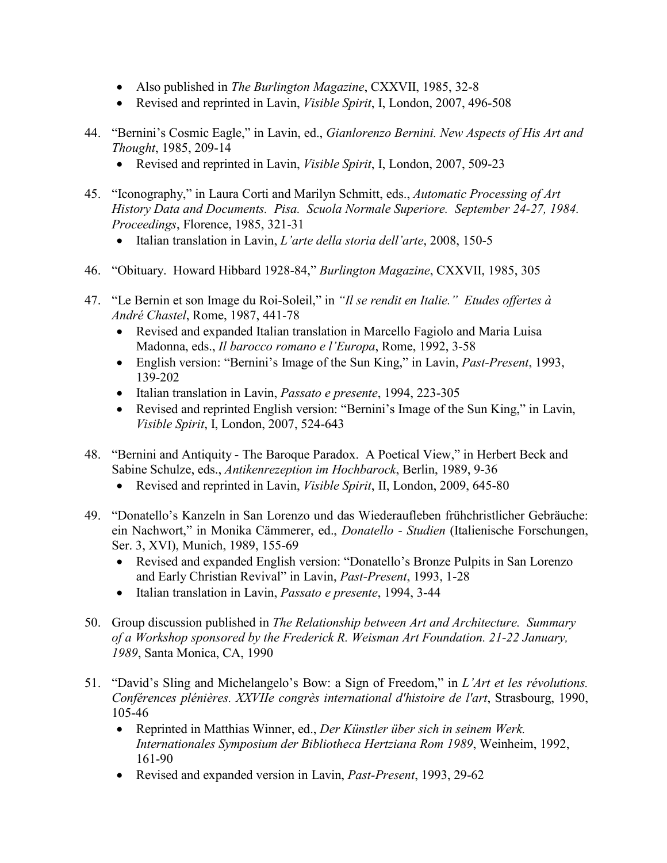- Also published in *The Burlington Magazine*, CXXVII, 1985, 32-8
- Revised and reprinted in Lavin, *Visible Spirit*, I, London, 2007, 496-508
- 44. "Bernini's Cosmic Eagle," in Lavin, ed., *Gianlorenzo Bernini. New Aspects of His Art and Thought*, 1985, 209-14
	- Revised and reprinted in Lavin, *Visible Spirit*, I, London, 2007, 509-23
- 45. "Iconography," in Laura Corti and Marilyn Schmitt, eds., *Automatic Processing of Art History Data and Documents. Pisa. Scuola Normale Superiore. September 24-27, 1984. Proceedings*, Florence, 1985, 321-31
	- Italian translation in Lavin, *L'arte della storia dell'arte*, 2008, 150-5
- 46. "Obituary. Howard Hibbard 1928-84," *Burlington Magazine*, CXXVII, 1985, 305
- 47. "Le Bernin et son Image du Roi-Soleil," in *"Il se rendit en Italie." Etudes offertes à André Chastel*, Rome, 1987, 441-78
	- Revised and expanded Italian translation in Marcello Fagiolo and Maria Luisa Madonna, eds., *Il barocco romano e l'Europa*, Rome, 1992, 3-58
	- English version: "Bernini's Image of the Sun King," in Lavin, *Past-Present*, 1993, 139-202
	- Italian translation in Lavin, *Passato e presente*, 1994, 223-305
	- Revised and reprinted English version: "Bernini's Image of the Sun King," in Lavin, *Visible Spirit*, I, London, 2007, 524-643
- 48. "Bernini and Antiquity The Baroque Paradox. A Poetical View," in Herbert Beck and Sabine Schulze, eds., *Antikenrezeption im Hochbarock*, Berlin, 1989, 9-36
	- Revised and reprinted in Lavin, *Visible Spirit*, II, London, 2009, 645-80
- 49. "Donatello's Kanzeln in San Lorenzo und das Wiederaufleben frühchristlicher Gebräuche: ein Nachwort," in Monika Cämmerer, ed., *Donatello - Studien* (Italienische Forschungen, Ser. 3, XVI), Munich, 1989, 155-69
	- Revised and expanded English version: "Donatello's Bronze Pulpits in San Lorenzo and Early Christian Revival" in Lavin, *Past-Present*, 1993, 1-28
	- Italian translation in Lavin, *Passato e presente*, 1994, 3-44
- 50. Group discussion published in *The Relationship between Art and Architecture. Summary of a Workshop sponsored by the Frederick R. Weisman Art Foundation. 21-22 January, 1989*, Santa Monica, CA, 1990
- 51. "David's Sling and Michelangelo's Bow: a Sign of Freedom," in *L'Art et les révolutions. Conférences plénières. XXVIIe congrès international d'histoire de l'art*, Strasbourg, 1990, 105-46
	- Reprinted in Matthias Winner, ed., *Der Künstler über sich in seinem Werk. Internationales Symposium der Bibliotheca Hertziana Rom 1989*, Weinheim, 1992, 161-90
	- Revised and expanded version in Lavin, *Past-Present*, 1993, 29-62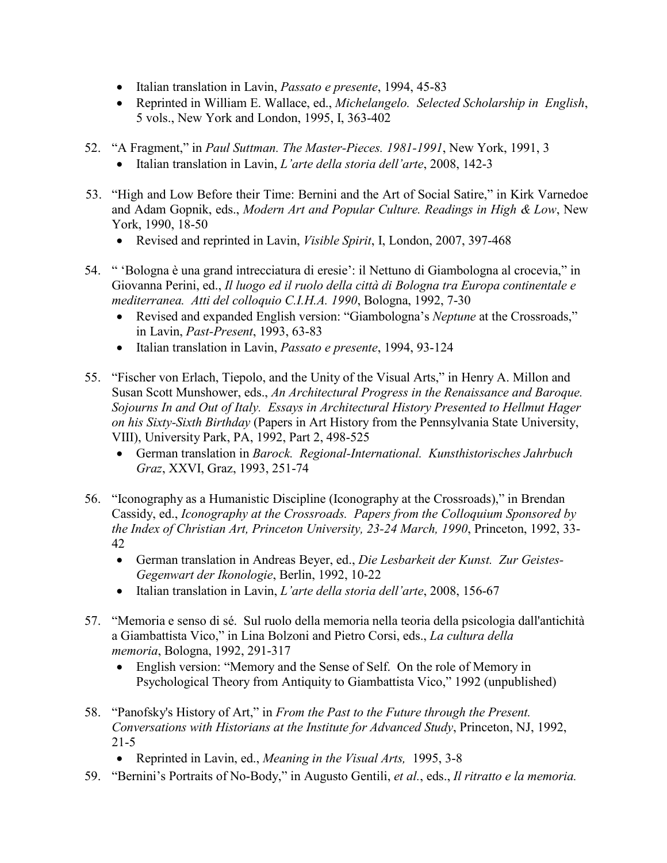- Italian translation in Lavin, *Passato e presente*, 1994, 45-83
- Reprinted in William E. Wallace, ed., *Michelangelo. Selected Scholarship in English*, 5 vols., New York and London, 1995, I, 363-402
- 52. "A Fragment," in *Paul Suttman. The Master-Pieces. 1981-1991*, New York, 1991, 3
	- Italian translation in Lavin, *L'arte della storia dell'arte*, 2008, 142-3
- 53. "High and Low Before their Time: Bernini and the Art of Social Satire," in Kirk Varnedoe and Adam Gopnik, eds., *Modern Art and Popular Culture. Readings in High & Low*, New York, 1990, 18-50
	- Revised and reprinted in Lavin, *Visible Spirit*, I, London, 2007, 397-468
- 54. " 'Bologna è una grand intrecciatura di eresie': il Nettuno di Giambologna al crocevia," in Giovanna Perini, ed., *Il luogo ed il ruolo della città di Bologna tra Europa continentale e mediterranea. Atti del colloquio C.I.H.A. 1990*, Bologna, 1992, 7-30
	- Revised and expanded English version: "Giambologna's *Neptune* at the Crossroads," in Lavin, *Past-Present*, 1993, 63-83
	- Italian translation in Lavin, *Passato e presente*, 1994, 93-124
- 55. "Fischer von Erlach, Tiepolo, and the Unity of the Visual Arts," in Henry A. Millon and Susan Scott Munshower, eds., *An Architectural Progress in the Renaissance and Baroque. Sojourns In and Out of Italy. Essays in Architectural History Presented to Hellmut Hager on his Sixty-Sixth Birthday* (Papers in Art History from the Pennsylvania State University, VIII), University Park, PA, 1992, Part 2, 498-525
	- German translation in *Barock. Regional-International. Kunsthistorisches Jahrbuch Graz*, XXVI, Graz, 1993, 251-74
- 56. "Iconography as a Humanistic Discipline (Iconography at the Crossroads)," in Brendan Cassidy, ed., *Iconography at the Crossroads. Papers from the Colloquium Sponsored by the Index of Christian Art, Princeton University, 23-24 March, 1990*, Princeton, 1992, 33- 42
	- German translation in Andreas Beyer, ed., *Die Lesbarkeit der Kunst. Zur Geistes-Gegenwart der Ikonologie*, Berlin, 1992, 10-22
	- Italian translation in Lavin, *L'arte della storia dell'arte*, 2008, 156-67
- 57. "Memoria e senso di sé. Sul ruolo della memoria nella teoria della psicologia dall'antichità a Giambattista Vico," in Lina Bolzoni and Pietro Corsi, eds., *La cultura della memoria*, Bologna, 1992, 291-317
	- English version: "Memory and the Sense of Self. On the role of Memory in Psychological Theory from Antiquity to Giambattista Vico," 1992 (unpublished)
- 58. "Panofsky's History of Art," in *From the Past to the Future through the Present. Conversations with Historians at the Institute for Advanced Study*, Princeton, NJ, 1992, 21-5
	- Reprinted in Lavin, ed., *Meaning in the Visual Arts,* 1995, 3-8
- 59. "Bernini's Portraits of No-Body," in Augusto Gentili, *et al.*, eds., *Il ritratto e la memoria.*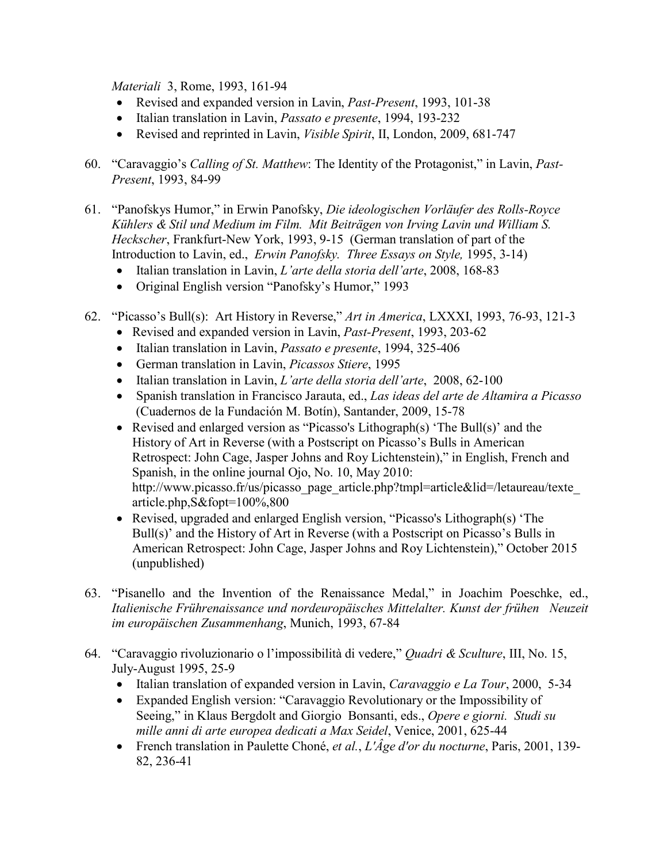*Materiali* 3, Rome, 1993, 161-94

- Revised and expanded version in Lavin, *Past-Present*, 1993, 101-38
- Italian translation in Lavin, *Passato e presente*, 1994, 193-232
- Revised and reprinted in Lavin, *Visible Spirit*, II, London, 2009, 681-747
- 60. "Caravaggio's *Calling of St. Matthew*: The Identity of the Protagonist," in Lavin, *Past-Present*, 1993, 84-99
- 61. "Panofskys Humor," in Erwin Panofsky, *Die ideologischen Vorläufer des Rolls-Royce Kühlers & Stil und Medium im Film. Mit Beiträgen von Irving Lavin und William S. Heckscher*, Frankfurt-New York, 1993, 9-15 (German translation of part of the Introduction to Lavin, ed., *Erwin Panofsky. Three Essays on Style,* 1995, 3-14)
	- Italian translation in Lavin, *L'arte della storia dell'arte*, 2008, 168-83
	- Original English version "Panofsky's Humor," 1993
- 62. "Picasso's Bull(s): Art History in Reverse," *Art in America*, LXXXI, 1993, 76-93, 121-3
	- Revised and expanded version in Lavin, *Past-Present*, 1993, 203-62
	- Italian translation in Lavin, *Passato e presente*, 1994, 325-406
	- German translation in Lavin, *Picassos Stiere*, 1995
	- Italian translation in Lavin, *L'arte della storia dell'arte*, 2008, 62-100
	- Spanish translation in Francisco Jarauta, ed., *Las ideas del arte de Altamira a Picasso* (Cuadernos de la Fundación M. Botín), Santander, 2009, 15-78
	- Revised and enlarged version as "Picasso's Lithograph(s) 'The Bull(s)' and the History of Art in Reverse (with a Postscript on Picasso's Bulls in American Retrospect: John Cage, Jasper Johns and Roy Lichtenstein)," in English, French and Spanish, in the online journal Ojo, No. 10, May 2010: http://www.picasso.fr/us/picasso\_page\_article.php?tmpl=article&lid=/letaureau/texte article.php,S&fopt=100%,800
	- Revised, upgraded and enlarged English version, "Picasso's Lithograph(s) 'The Bull(s)' and the History of Art in Reverse (with a Postscript on Picasso's Bulls in American Retrospect: John Cage, Jasper Johns and Roy Lichtenstein)," October 2015 (unpublished)
- 63. "Pisanello and the Invention of the Renaissance Medal," in Joachim Poeschke, ed., *Italienische Frührenaissance und nordeuropäisches Mittelalter. Kunst der frühen Neuzeit im europäischen Zusammenhang*, Munich, 1993, 67-84
- 64. "Caravaggio rivoluzionario o l'impossibilità di vedere," *Quadri & Sculture*, III, No. 15, July-August 1995, 25-9
	- Italian translation of expanded version in Lavin, *Caravaggio e La Tour*, 2000, 5-34
	- Expanded English version: "Caravaggio Revolutionary or the Impossibility of Seeing," in Klaus Bergdolt and Giorgio Bonsanti, eds., *Opere e giorni. Studi su mille anni di arte europea dedicati a Max Seidel*, Venice, 2001, 625-44
	- French translation in Paulette Choné, *et al.*, *L'Âge d'or du nocturne*, Paris, 2001, 139- 82, 236-41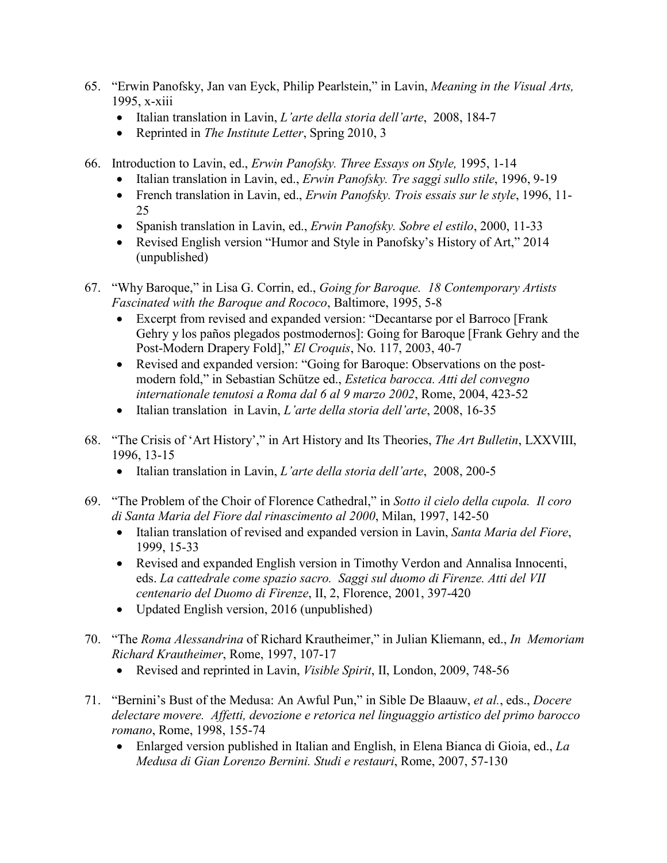- 65. "Erwin Panofsky, Jan van Eyck, Philip Pearlstein," in Lavin, *Meaning in the Visual Arts,* 1995, x-xiii
	- Italian translation in Lavin, *L'arte della storia dell'arte*, 2008, 184-7
	- Reprinted in *The Institute Letter*, Spring 2010, 3
- 66. Introduction to Lavin, ed., *Erwin Panofsky. Three Essays on Style,* 1995, 1-14
	- Italian translation in Lavin, ed., *Erwin Panofsky. Tre saggi sullo stile*, 1996, 9-19
	- French translation in Lavin, ed., *Erwin Panofsky. Trois essais sur le style*, 1996, 11- 25
	- Spanish translation in Lavin, ed., *Erwin Panofsky. Sobre el estilo*, 2000, 11-33
	- Revised English version "Humor and Style in Panofsky's History of Art," 2014 (unpublished)
- 67. "Why Baroque," in Lisa G. Corrin, ed., *Going for Baroque. 18 Contemporary Artists Fascinated with the Baroque and Rococo*, Baltimore, 1995, 5-8
	- Excerpt from revised and expanded version: "Decantarse por el Barroco [Frank Gehry y los paños plegados postmodernos]: Going for Baroque [Frank Gehry and the Post-Modern Drapery Fold]," *El Croquis*, No. 117, 2003, 40-7
	- Revised and expanded version: "Going for Baroque: Observations on the postmodern fold," in Sebastian Schütze ed., *Estetica barocca. Atti del convegno internationale tenutosi a Roma dal 6 al 9 marzo 2002*, Rome, 2004, 423-52
	- Italian translation in Lavin, *L'arte della storia dell'arte*, 2008, 16-35
- 68. "The Crisis of 'Art History'," in Art History and Its Theories, *The Art Bulletin*, LXXVIII, 1996, 13-15
	- Italian translation in Lavin, *L'arte della storia dell'arte*, 2008, 200-5
- 69. "The Problem of the Choir of Florence Cathedral," in *Sotto il cielo della cupola. Il coro di Santa Maria del Fiore dal rinascimento al 2000*, Milan, 1997, 142-50
	- Italian translation of revised and expanded version in Lavin, *Santa Maria del Fiore*, 1999, 15-33
	- Revised and expanded English version in Timothy Verdon and Annalisa Innocenti, eds. *La cattedrale come spazio sacro. Saggi sul duomo di Firenze. Atti del VII centenario del Duomo di Firenze*, II, 2, Florence, 2001, 397-420
	- Updated English version, 2016 (unpublished)
- 70. "The *Roma Alessandrina* of Richard Krautheimer," in Julian Kliemann, ed., *In Memoriam Richard Krautheimer*, Rome, 1997, 107-17
	- Revised and reprinted in Lavin, *Visible Spirit*, II, London, 2009, 748-56
- 71. "Bernini's Bust of the Medusa: An Awful Pun," in Sible De Blaauw, *et al.*, eds., *Docere delectare movere. Affetti, devozione e retorica nel linguaggio artistico del primo barocco romano*, Rome, 1998, 155-74
	- Enlarged version published in Italian and English, in Elena Bianca di Gioia, ed., *La Medusa di Gian Lorenzo Bernini. Studi e restauri*, Rome, 2007, 57-130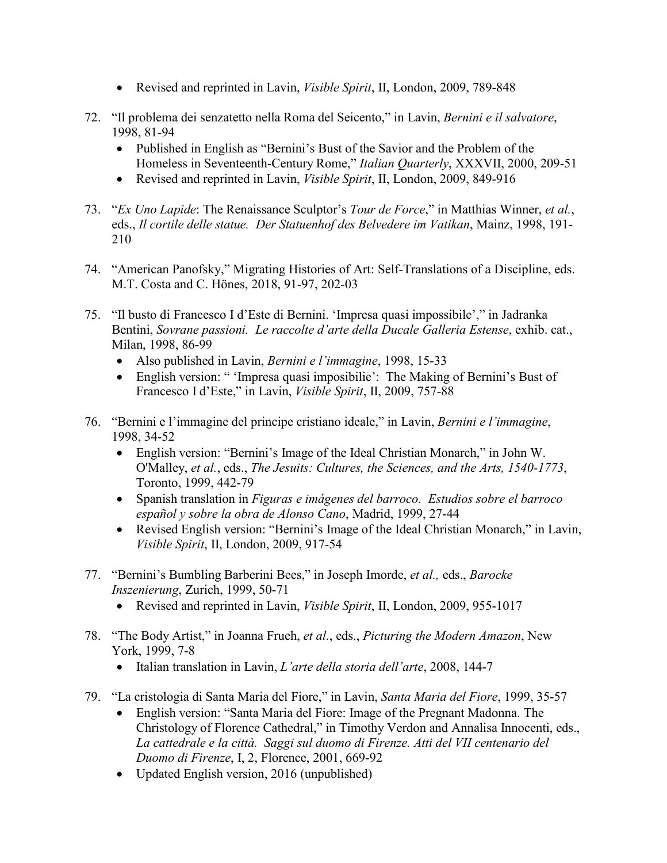- Revised and reprinted in Lavin, *Visible Spirit*, II, London, 2009, 789-848
- 72. "Il problema dei senzatetto nella Roma del Seicento," in Lavin, *Bernini e il salvatore*, 1998, 81-94
	- Published in English as "Bernini's Bust of the Savior and the Problem of the Homeless in Seventeenth-Century Rome," *Italian Quarterly*, XXXVII, 2000, 209-51
	- Revised and reprinted in Lavin, *Visible Spirit*, II, London, 2009, 849-916
- 73. "*Ex Uno Lapide*: The Renaissance Sculptor's *Tour de Force*," in Matthias Winner, *et al.*, eds., *Il cortile delle statue. Der Statuenhof des Belvedere im Vatikan*, Mainz, 1998, 191- 210
- 74. "American Panofsky," Migrating Histories of Art: Self-Translations of a Discipline, eds. M.T. Costa and C. Hönes, 2018, 91-97, 202-03
- 75. "Il busto di Francesco I d'Este di Bernini. 'Impresa quasi impossibile'," in Jadranka Bentini, *Sovrane passioni. Le raccolte d'arte della Ducale Galleria Estense*, exhib. cat., Milan, 1998, 86-99
	- Also published in Lavin, *Bernini e l'immagine*, 1998, 15-33
	- English version: " 'Impresa quasi imposibilie': The Making of Bernini's Bust of Francesco I d'Este," in Lavin, *Visible Spirit*, II, 2009, 757-88
- 76. "Bernini e l'immagine del principe cristiano ideale," in Lavin, *Bernini e l'immagine*, 1998, 34-52
	- English version: "Bernini's Image of the Ideal Christian Monarch," in John W. O'Malley, *et al.*, eds., *The Jesuits: Cultures, the Sciences, and the Arts, 1540-1773*, Toronto, 1999, 442-79
	- Spanish translation in *Figuras e imágenes del barroco. Estudios sobre el barroco español y sobre la obra de Alonso Cano*, Madrid, 1999, 27-44
	- Revised English version: "Bernini's Image of the Ideal Christian Monarch," in Lavin, *Visible Spirit*, II, London, 2009, 917-54
- 77. "Bernini's Bumbling Barberini Bees," in Joseph Imorde, *et al.,* eds., *Barocke Inszenierung*, Zurich, 1999, 50-71
	- Revised and reprinted in Lavin, *Visible Spirit*, II, London, 2009, 955-1017
- 78. "The Body Artist," in Joanna Frueh, *et al.*, eds., *Picturing the Modern Amazon*, New York, 1999, 7-8
	- Italian translation in Lavin, *L'arte della storia dell'arte*, 2008, 144-7
- 79. "La cristologia di Santa Maria del Fiore," in Lavin, *Santa Maria del Fiore*, 1999, 35-57
	- English version: "Santa Maria del Fiore: Image of the Pregnant Madonna. The Christology of Florence Cathedral," in Timothy Verdon and Annalisa Innocenti, eds., *La cattedrale e la città. Saggi sul duomo di Firenze. Atti del VII centenario del Duomo di Firenze*, I, 2, Florence, 2001, 669-92
	- Updated English version, 2016 (unpublished)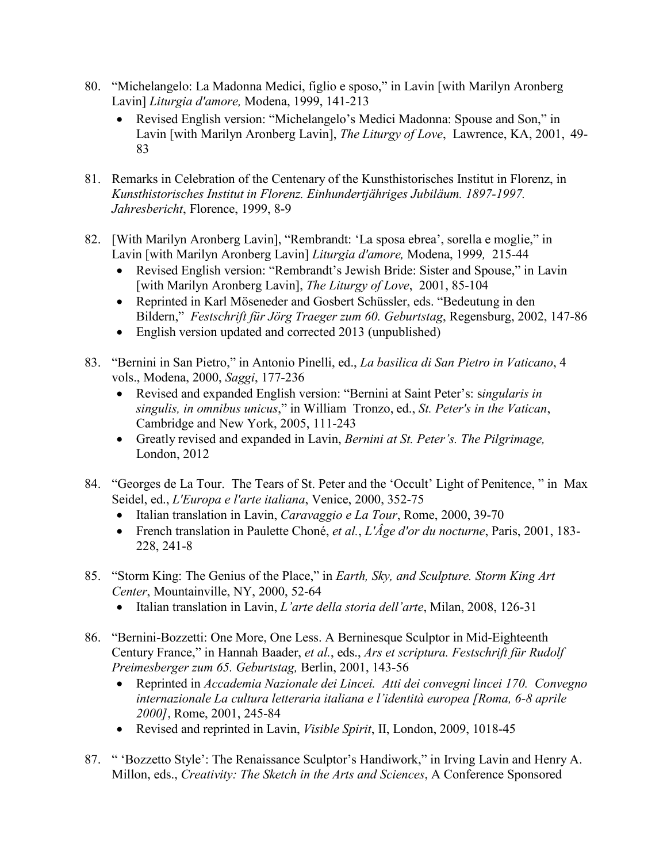- 80. "Michelangelo: La Madonna Medici, figlio e sposo," in Lavin [with Marilyn Aronberg Lavin] *Liturgia d'amore,* Modena, 1999, 141-213
	- Revised English version: "Michelangelo's Medici Madonna: Spouse and Son," in Lavin [with Marilyn Aronberg Lavin], *The Liturgy of Love*, Lawrence, KA, 2001, 49- 83
- 81. Remarks in Celebration of the Centenary of the Kunsthistorisches Institut in Florenz, in *Kunsthistorisches Institut in Florenz. Einhundertjähriges Jubiläum. 1897-1997. Jahresbericht*, Florence, 1999, 8-9
- 82. [With Marilyn Aronberg Lavin], "Rembrandt: 'La sposa ebrea', sorella e moglie," in Lavin [with Marilyn Aronberg Lavin] *Liturgia d'amore,* Modena, 1999*,* 215-44
	- Revised English version: "Rembrandt's Jewish Bride: Sister and Spouse," in Lavin [with Marilyn Aronberg Lavin], *The Liturgy of Love*, 2001, 85-104
	- Reprinted in Karl Möseneder and Gosbert Schüssler, eds. "Bedeutung in den Bildern," *Festschrift für Jörg Traeger zum 60. Geburtstag*, Regensburg, 2002, 147-86
	- English version updated and corrected 2013 (unpublished)
- 83. "Bernini in San Pietro," in Antonio Pinelli, ed., *La basilica di San Pietro in Vaticano*, 4 vols., Modena, 2000, *Saggi*, 177-236
	- Revised and expanded English version: "Bernini at Saint Peter's: s*ingularis in singulis, in omnibus unicus*," in William Tronzo, ed., *St. Peter's in the Vatican*, Cambridge and New York, 2005, 111-243
	- Greatly revised and expanded in Lavin, *Bernini at St. Peter's. The Pilgrimage,* London, 2012
- 84. "Georges de La Tour. The Tears of St. Peter and the 'Occult' Light of Penitence, " in Max Seidel, ed., *L'Europa e l'arte italiana*, Venice, 2000, 352-75
	- Italian translation in Lavin, *Caravaggio e La Tour*, Rome, 2000, 39-70
	- French translation in Paulette Choné, *et al.*, *L'Âge d'or du nocturne*, Paris, 2001, 183- 228, 241-8
- 85. "Storm King: The Genius of the Place," in *Earth, Sky, and Sculpture. Storm King Art Center*, Mountainville, NY, 2000, 52-64
	- Italian translation in Lavin, *L'arte della storia dell'arte*, Milan, 2008, 126-31
- 86. "Bernini-Bozzetti: One More, One Less. A Berninesque Sculptor in Mid-Eighteenth Century France," in Hannah Baader, *et al.*, eds., *Ars et scriptura. Festschrift für Rudolf Preimesberger zum 65. Geburtstag,* Berlin, 2001, 143-56
	- Reprinted in *Accademia Nazionale dei Lincei. Atti dei convegni lincei 170. Convegno internazionale La cultura letteraria italiana e l'identità europea [Roma, 6-8 aprile 2000]*, Rome, 2001, 245-84
	- Revised and reprinted in Lavin, *Visible Spirit*, II, London, 2009, 1018-45
- 87. " 'Bozzetto Style': The Renaissance Sculptor's Handiwork," in Irving Lavin and Henry A. Millon, eds., *Creativity: The Sketch in the Arts and Sciences*, A Conference Sponsored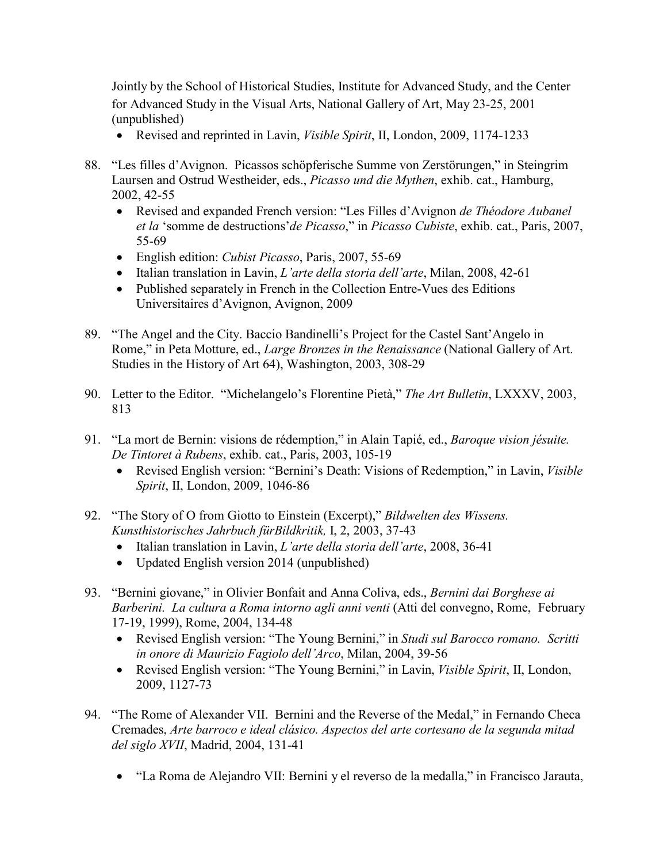Jointly by the School of Historical Studies, Institute for Advanced Study, and the Center for Advanced Study in the Visual Arts, National Gallery of Art, May 23-25, 2001 (unpublished)

- Revised and reprinted in Lavin, *Visible Spirit*, II, London, 2009, 1174-1233
- 88. "Les filles d'Avignon. Picassos schöpferische Summe von Zerstörungen," in Steingrim Laursen and Ostrud Westheider, eds., *Picasso und die Mythen*, exhib. cat., Hamburg, 2002, 42-55
	- Revised and expanded French version: "Les Filles d'Avignon *de Théodore Aubanel et la* 'somme de destructions'*de Picasso*," in *Picasso Cubiste*, exhib. cat., Paris, 2007, 55-69
	- English edition: *Cubist Picasso*, Paris, 2007, 55-69
	- Italian translation in Lavin, *L'arte della storia dell'arte*, Milan, 2008, 42-61
	- Published separately in French in the Collection Entre-Vues des Editions Universitaires d'Avignon, Avignon, 2009
- 89. "The Angel and the City. Baccio Bandinelli's Project for the Castel Sant'Angelo in Rome," in Peta Motture, ed., *Large Bronzes in the Renaissance* (National Gallery of Art. Studies in the History of Art 64), Washington, 2003, 308-29
- 90. Letter to the Editor. "Michelangelo's Florentine Pietà," *The Art Bulletin*, LXXXV, 2003, 813
- 91. "La mort de Bernin: visions de rédemption," in Alain Tapié, ed., *Baroque vision jésuite. De Tintoret à Rubens*, exhib. cat., Paris, 2003, 105-19
	- Revised English version: "Bernini's Death: Visions of Redemption," in Lavin, *Visible Spirit*, II, London, 2009, 1046-86
- 92. "The Story of O from Giotto to Einstein (Excerpt)," *Bildwelten des Wissens. Kunsthistorisches Jahrbuch fürBildkritik,* I, 2, 2003, 37-43
	- Italian translation in Lavin, *L'arte della storia dell'arte*, 2008, 36-41
	- Updated English version 2014 (unpublished)
- 93. "Bernini giovane," in Olivier Bonfait and Anna Coliva, eds., *Bernini dai Borghese ai Barberini. La cultura a Roma intorno agli anni venti* (Atti del convegno, Rome, February 17-19, 1999), Rome, 2004, 134-48
	- Revised English version: "The Young Bernini," in *Studi sul Barocco romano. Scritti in onore di Maurizio Fagiolo dell'Arco*, Milan, 2004, 39-56
	- Revised English version: "The Young Bernini," in Lavin, *Visible Spirit*, II, London, 2009, 1127-73
- 94. "The Rome of Alexander VII. Bernini and the Reverse of the Medal," in Fernando Checa Cremades, *Arte barroco e ideal clásico. Aspectos del arte cortesano de la segunda mitad del siglo XVII*, Madrid, 2004, 131-41
	- "La Roma de Alejandro VII: Bernini y el reverso de la medalla," in Francisco Jarauta,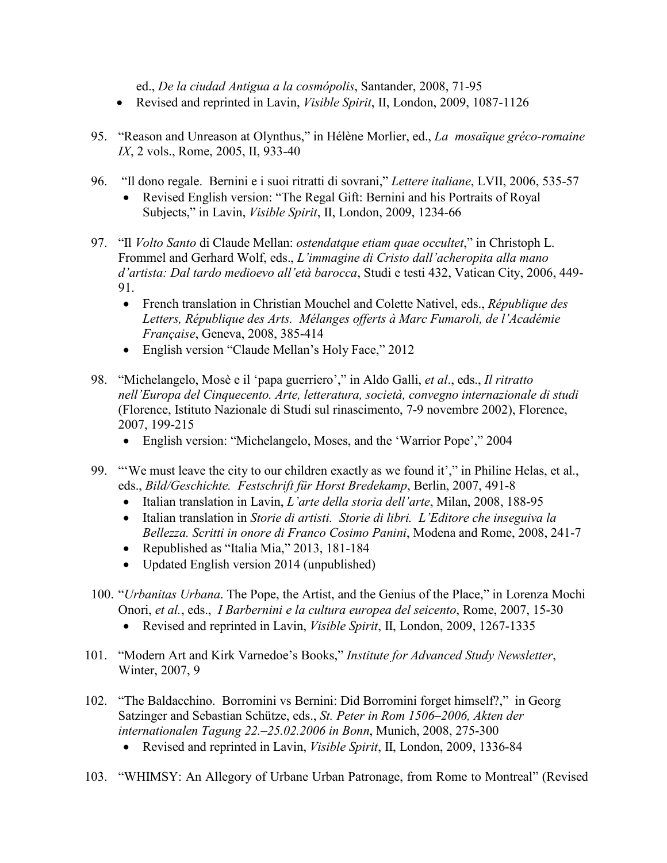ed., *De la ciudad Antigua a la cosmópolis*, Santander, 2008, 71-95

- Revised and reprinted in Lavin, *Visible Spirit*, II, London, 2009, 1087-1126
- 95. "Reason and Unreason at Olynthus," in Hélène Morlier, ed., *La mosaïque gréco-romaine IX*, 2 vols., Rome, 2005, II, 933-40
- 96. "Il dono regale. Bernini e i suoi ritratti di sovrani," *Lettere italiane*, LVII, 2006, 535-57 • Revised English version: "The Regal Gift: Bernini and his Portraits of Royal Subjects," in Lavin, *Visible Spirit*, II, London, 2009, 1234-66
- 97. "Il *Volto Santo* di Claude Mellan: *ostendatque etiam quae occultet*," in Christoph L. Frommel and Gerhard Wolf, eds., *L'immagine di Cristo dall'acheropita alla mano d'artista: Dal tardo medioevo all'età barocca*, Studi e testi 432, Vatican City, 2006, 449- 91.
	- French translation in Christian Mouchel and Colette Nativel, eds., *République des Letters, République des Arts. Mélanges offerts à Marc Fumaroli, de l'Académie Française*, Geneva, 2008, 385-414
	- English version "Claude Mellan's Holy Face," 2012
- 98. "Michelangelo, Mosè e il 'papa guerriero'," in Aldo Galli, *et al*., eds., *Il ritratto nell'Europa del Cinquecento. Arte, letteratura, società, convegno internazionale di studi* (Florence, Istituto Nazionale di Studi sul rinascimento, 7-9 novembre 2002), Florence, 2007, 199-215
	- English version: "Michelangelo, Moses, and the 'Warrior Pope'," 2004
- 99. "'We must leave the city to our children exactly as we found it'," in Philine Helas, et al., eds., *Bild/Geschichte. Festschrift für Horst Bredekamp*, Berlin, 2007, 491-8
	- Italian translation in Lavin, *L'arte della storia dell'arte*, Milan, 2008, 188-95
	- Italian translation in *Storie di artisti. Storie di libri. L'Editore che inseguiva la Bellezza. Scritti in onore di Franco Cosimo Panini*, Modena and Rome, 2008, 241-7
	- Republished as "Italia Mia," 2013, 181-184
	- Updated English version 2014 (unpublished)
- 100. "*Urbanitas Urbana*. The Pope, the Artist, and the Genius of the Place," in Lorenza Mochi Onori, *et al.*, eds., *I Barbernini e la cultura europea del seicento*, Rome, 2007, 15-30
	- Revised and reprinted in Lavin, *Visible Spirit*, II, London, 2009, 1267-1335
- 101. "Modern Art and Kirk Varnedoe's Books," *Institute for Advanced Study Newsletter*, Winter, 2007, 9
- 102. "The Baldacchino. Borromini vs Bernini: Did Borromini forget himself?," in Georg Satzinger and Sebastian Schütze, eds., *St. Peter in Rom 1506–2006, Akten der internationalen Tagung 22.–25.02.2006 in Bonn*, Munich, 2008, 275-300
	- Revised and reprinted in Lavin, *Visible Spirit*, II, London, 2009, 1336-84
- 103. "WHIMSY: An Allegory of Urbane Urban Patronage, from Rome to Montreal" (Revised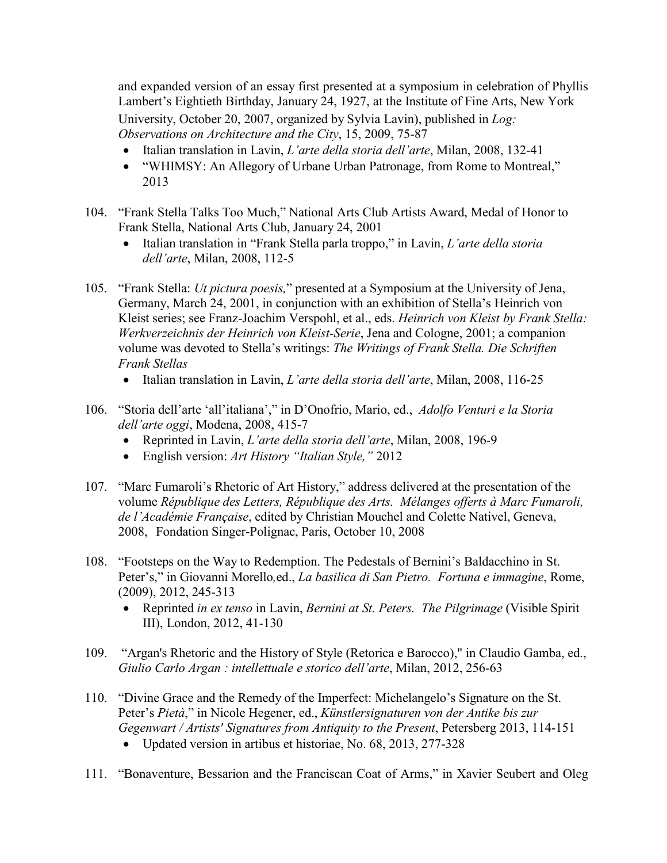and expanded version of an essay first presented at a symposium in celebration of Phyllis Lambert's Eightieth Birthday, January 24, 1927, at the Institute of Fine Arts, New York University, October 20, 2007, organized by Sylvia Lavin), published in *Log: Observations on Architecture and the City*, 15, 2009, 75-87

- Italian translation in Lavin, *L'arte della storia dell'arte*, Milan, 2008, 132-41
- "WHIMSY: An Allegory of Urbane Urban Patronage, from Rome to Montreal," 2013
- 104. "Frank Stella Talks Too Much," National Arts Club Artists Award, Medal of Honor to Frank Stella, National Arts Club, January 24, 2001
	- Italian translation in "Frank Stella parla troppo," in Lavin, *L'arte della storia dell'arte*, Milan, 2008, 112-5
- 105. "Frank Stella: *Ut pictura poesis,*" presented at a Symposium at the University of Jena, Germany, March 24, 2001, in conjunction with an exhibition of Stella's Heinrich von Kleist series; see Franz-Joachim Verspohl, et al., eds. *Heinrich von Kleist by Frank Stella: Werkverzeichnis der Heinrich von Kleist-Serie*, Jena and Cologne, 2001; a companion volume was devoted to Stella's writings: *The Writings of Frank Stella. Die Schriften Frank Stellas*
	- Italian translation in Lavin, *L'arte della storia dell'arte*, Milan, 2008, 116-25
- 106. "Storia dell'arte 'all'italiana'," in D'Onofrio, Mario, ed., *Adolfo Venturi e la Storia dell'arte oggi*, Modena, 2008, 415-7
	- Reprinted in Lavin, *L'arte della storia dell'arte*, Milan, 2008, 196-9
	- English version: *Art History "Italian Style,"* 2012
- 107. "Marc Fumaroli's Rhetoric of Art History," address delivered at the presentation of the volume *République des Letters, République des Arts. Mélanges offerts à Marc Fumaroli, de l'Académie Française*, edited by Christian Mouchel and Colette Nativel, Geneva, 2008, Fondation Singer-Polignac, Paris, October 10, 2008
- 108. "Footsteps on the Way to Redemption. The Pedestals of Bernini's Baldacchino in St. Peter's," in Giovanni Morello*,*ed., *La basilica di San Pietro. Fortuna e immagine*, Rome, (2009), 2012, 245-313
	- Reprinted *in ex tenso* in Lavin, *Bernini at St. Peters. The Pilgrimage* (Visible Spirit III), London, 2012, 41-130
- 109. "Argan's Rhetoric and the History of Style (Retorica e Barocco)," in Claudio Gamba, ed., *Giulio Carlo Argan : intellettuale e storico dell'arte*, Milan, 2012, 256-63
- 110. "Divine Grace and the Remedy of the Imperfect: Michelangelo's Signature on the St. Peter's *Pietà*," in Nicole Hegener, ed., *Künstlersignaturen von der Antike bis zur Gegenwart / Artists' Signatures from Antiquity to the Present*, Petersberg 2013, 114-151
	- Updated version in artibus et historiae, No. 68, 2013, 277-328
- 111. "Bonaventure, Bessarion and the Franciscan Coat of Arms," in Xavier Seubert and Oleg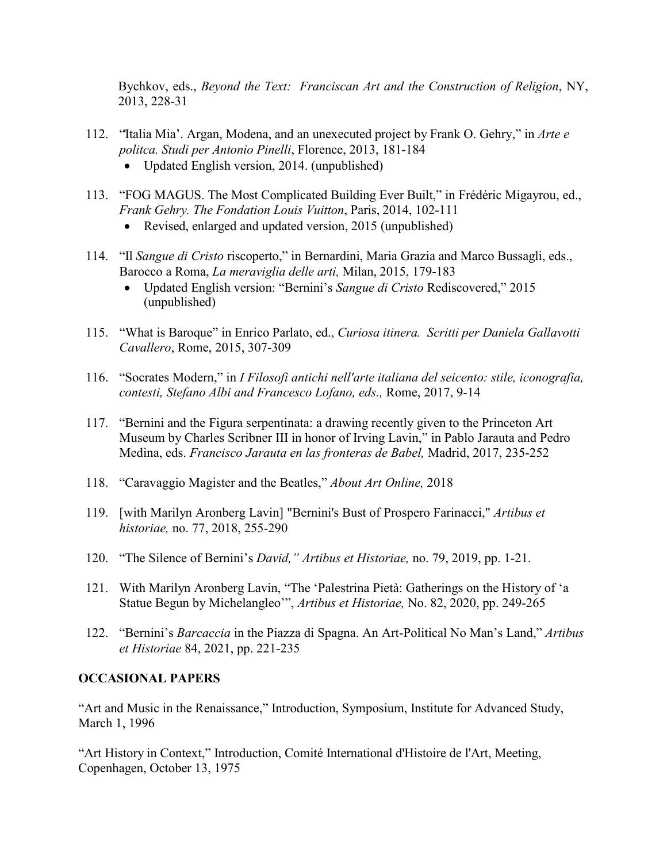Bychkov, eds., *Beyond the Text: Franciscan Art and the Construction of Religion*, NY, 2013, 228-31

- 112. "̒Italia Mia'. Argan, Modena, and an unexecuted project by Frank O. Gehry," in *Arte e politca. Studi per Antonio Pinelli*, Florence, 2013, 181-184
	- Updated English version, 2014. (unpublished)
- 113. "FOG MAGUS. The Most Complicated Building Ever Built," in Frédéric Migayrou, ed., *Frank Gehry. The Fondation Louis Vuitton*, Paris, 2014, 102-111
	- Revised, enlarged and updated version, 2015 (unpublished)
- 114. "Il *Sangue di Cristo* riscoperto," in Bernardini, Maria Grazia and Marco Bussagli, eds., Barocco a Roma, *La meraviglia delle arti,* Milan, 2015, 179-183
	- Updated English version: "Bernini's *Sangue di Cristo* Rediscovered," 2015 (unpublished)
- 115. "What is Baroque" in Enrico Parlato, ed., *Curiosa itinera. Scritti per Daniela Gallavotti Cavallero*, Rome, 2015, 307-309
- 116. "Socrates Modern," in *I Filosofi antichi nell'arte italiana del seicento: stile, iconografia, contesti, Stefano Albi and Francesco Lofano, eds.,* Rome, 2017, 9-14
- 117. "Bernini and the Figura serpentinata: a drawing recently given to the Princeton Art Museum by Charles Scribner III in honor of Irving Lavin," in Pablo Jarauta and Pedro Medina, eds. *Francisco Jarauta en las fronteras de Babel,* Madrid, 2017, 235-252
- 118. "Caravaggio Magister and the Beatles," *About Art Online,* 2018
- 119. [with Marilyn Aronberg Lavin] "Bernini's Bust of Prospero Farinacci," *Artibus et historiae,* no. 77, 2018, 255-290
- 120. "The Silence of Bernini's *David," Artibus et Historiae,* no. 79, 2019, pp. 1-21.
- 121. With Marilyn Aronberg Lavin, "The 'Palestrina Pietà: Gatherings on the History of 'a Statue Begun by Michelangleo'", *Artibus et Historiae,* No. 82, 2020, pp. 249-265
- 122. "Bernini's *Barcaccia* in the Piazza di Spagna. An Art-Political No Man's Land," *Artibus et Historiae* 84, 2021, pp. 221-235

#### **OCCASIONAL PAPERS**

"Art and Music in the Renaissance," Introduction, Symposium, Institute for Advanced Study, March 1, 1996

"Art History in Context," Introduction, Comité International d'Histoire de l'Art, Meeting, Copenhagen, October 13, 1975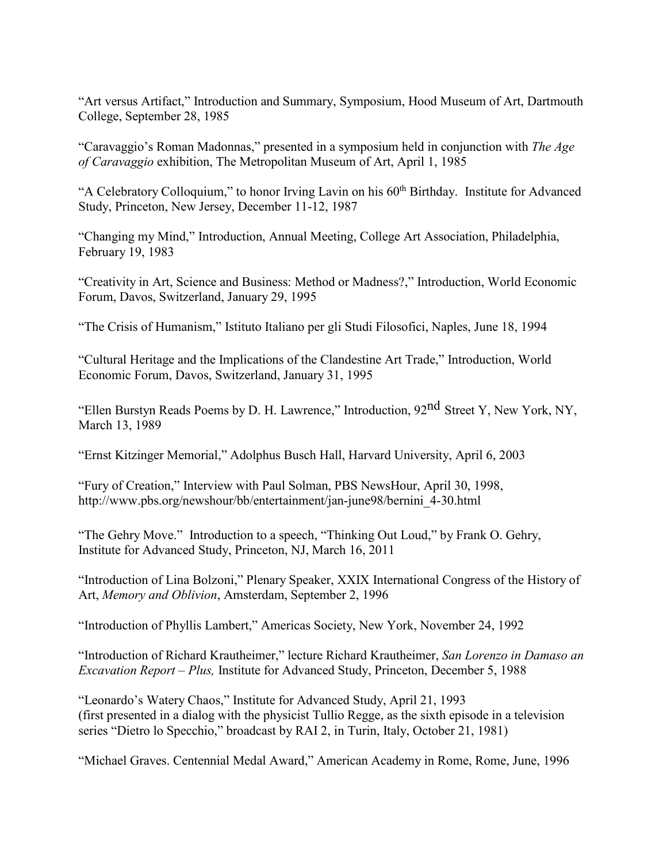"Art versus Artifact," Introduction and Summary, Symposium, Hood Museum of Art, Dartmouth College, September 28, 1985

"Caravaggio's Roman Madonnas," presented in a symposium held in conjunction with *The Age of Caravaggio* exhibition, The Metropolitan Museum of Art, April 1, 1985

"A Celebratory Colloquium," to honor Irving Lavin on his 60<sup>th</sup> Birthday. Institute for Advanced Study, Princeton, New Jersey, December 11-12, 1987

"Changing my Mind," Introduction, Annual Meeting, College Art Association, Philadelphia, February 19, 1983

"Creativity in Art, Science and Business: Method or Madness?," Introduction, World Economic Forum, Davos, Switzerland, January 29, 1995

"The Crisis of Humanism," Istituto Italiano per gli Studi Filosofici, Naples, June 18, 1994

"Cultural Heritage and the Implications of the Clandestine Art Trade," Introduction, World Economic Forum, Davos, Switzerland, January 31, 1995

"Ellen Burstyn Reads Poems by D. H. Lawrence," Introduction, 92nd Street Y, New York, NY, March 13, 1989

"Ernst Kitzinger Memorial," Adolphus Busch Hall, Harvard University, April 6, 2003

"Fury of Creation," Interview with Paul Solman, PBS NewsHour, April 30, 1998, http://www.pbs.org/newshour/bb/entertainment/jan-june98/bernini\_4-30.html

"The Gehry Move." Introduction to a speech, "Thinking Out Loud," by Frank O. Gehry, Institute for Advanced Study, Princeton, NJ, March 16, 2011

"Introduction of Lina Bolzoni," Plenary Speaker, XXIX International Congress of the History of Art, *Memory and Oblivion*, Amsterdam, September 2, 1996

"Introduction of Phyllis Lambert," Americas Society, New York, November 24, 1992

"Introduction of Richard Krautheimer," lecture Richard Krautheimer, *San Lorenzo in Damaso an Excavation Report – Plus,* Institute for Advanced Study, Princeton, December 5, 1988

"Leonardo's Watery Chaos," Institute for Advanced Study, April 21, 1993 (first presented in a dialog with the physicist Tullio Regge, as the sixth episode in a television series "Dietro lo Specchio," broadcast by RAI 2, in Turin, Italy, October 21, 1981)

"Michael Graves. Centennial Medal Award," American Academy in Rome, Rome, June, 1996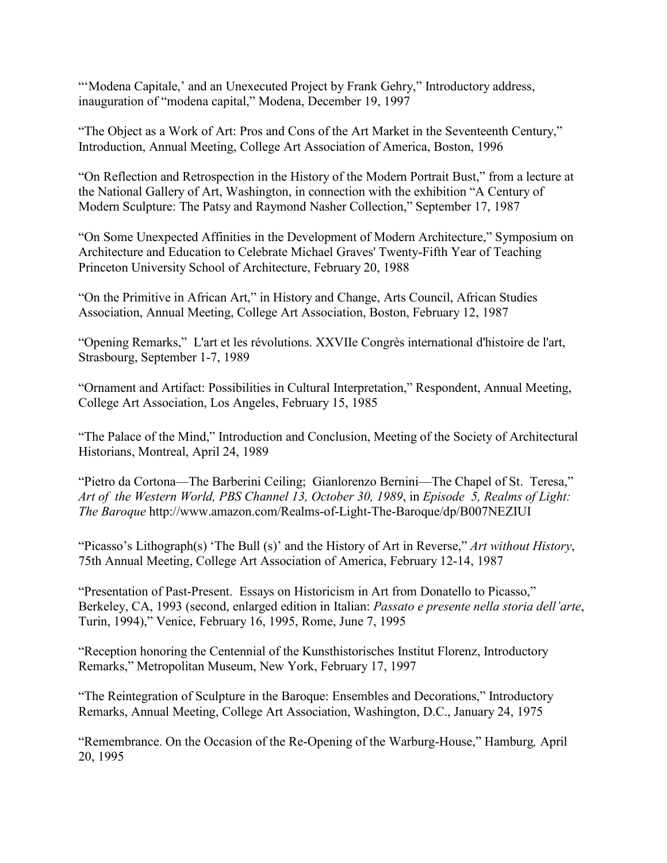"'Modena Capitale,' and an Unexecuted Project by Frank Gehry," Introductory address, inauguration of "modena capital," Modena, December 19, 1997

"The Object as a Work of Art: Pros and Cons of the Art Market in the Seventeenth Century," Introduction, Annual Meeting, College Art Association of America, Boston, 1996

"On Reflection and Retrospection in the History of the Modern Portrait Bust," from a lecture at the National Gallery of Art, Washington, in connection with the exhibition "A Century of Modern Sculpture: The Patsy and Raymond Nasher Collection," September 17, 1987

"On Some Unexpected Affinities in the Development of Modern Architecture," Symposium on Architecture and Education to Celebrate Michael Graves' Twenty-Fifth Year of Teaching Princeton University School of Architecture, February 20, 1988

"On the Primitive in African Art," in History and Change, Arts Council, African Studies Association, Annual Meeting, College Art Association, Boston, February 12, 1987

"Opening Remarks," L'art et les révolutions. XXVIIe Congrès international d'histoire de l'art, Strasbourg, September 1-7, 1989

"Ornament and Artifact: Possibilities in Cultural Interpretation," Respondent, Annual Meeting, College Art Association, Los Angeles, February 15, 1985

"The Palace of the Mind," Introduction and Conclusion, Meeting of the Society of Architectural Historians, Montreal, April 24, 1989

"Pietro da Cortona—The Barberini Ceiling; Gianlorenzo Bernini—The Chapel of St. Teresa," *Art of the Western World, PBS Channel 13, October 30, 1989*, in *Episode 5, Realms of Light: The Baroque* http://www.amazon.com/Realms-of-Light-The-Baroque/dp/B007NEZIUI

"Picasso's Lithograph(s) 'The Bull (s)' and the History of Art in Reverse," *Art without History*, 75th Annual Meeting, College Art Association of America, February 12-14, 1987

"Presentation of Past-Present. Essays on Historicism in Art from Donatello to Picasso," Berkeley, CA, 1993 (second, enlarged edition in Italian: *Passato e presente nella storia dell'arte*, Turin, 1994)," Venice, February 16, 1995, Rome, June 7, 1995

"Reception honoring the Centennial of the Kunsthistorisches Institut Florenz, Introductory Remarks," Metropolitan Museum, New York, February 17, 1997

"The Reintegration of Sculpture in the Baroque: Ensembles and Decorations," Introductory Remarks, Annual Meeting, College Art Association, Washington, D.C., January 24, 1975

"Remembrance. On the Occasion of the Re-Opening of the Warburg-House," Hamburg*,* April 20, 1995